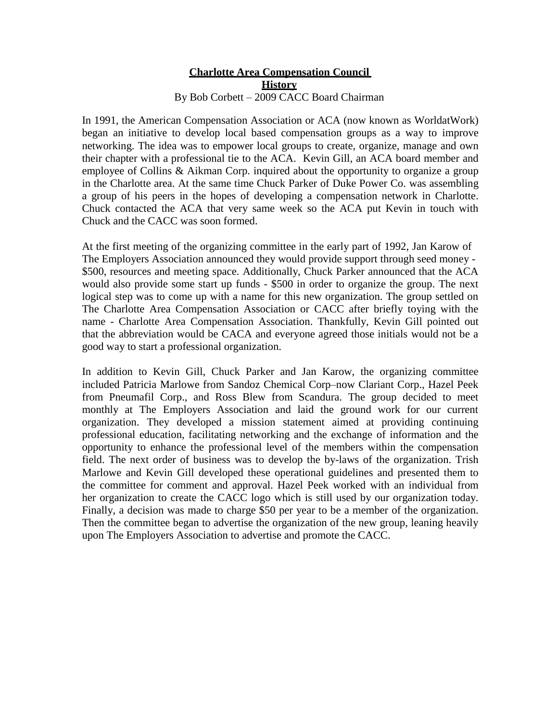## **Charlotte Area Compensation Council History** By Bob Corbett – 2009 CACC Board Chairman

In 1991, the American Compensation Association or ACA (now known as WorldatWork) began an initiative to develop local based compensation groups as a way to improve networking. The idea was to empower local groups to create, organize, manage and own their chapter with a professional tie to the ACA. Kevin Gill, an ACA board member and employee of Collins & Aikman Corp. inquired about the opportunity to organize a group in the Charlotte area. At the same time Chuck Parker of Duke Power Co. was assembling a group of his peers in the hopes of developing a compensation network in Charlotte. Chuck contacted the ACA that very same week so the ACA put Kevin in touch with Chuck and the CACC was soon formed.

At the first meeting of the organizing committee in the early part of 1992, Jan Karow of The Employers Association announced they would provide support through seed money - \$500, resources and meeting space. Additionally, Chuck Parker announced that the ACA would also provide some start up funds - \$500 in order to organize the group. The next logical step was to come up with a name for this new organization. The group settled on The Charlotte Area Compensation Association or CACC after briefly toying with the name - Charlotte Area Compensation Association. Thankfully, Kevin Gill pointed out that the abbreviation would be CACA and everyone agreed those initials would not be a good way to start a professional organization.

In addition to Kevin Gill, Chuck Parker and Jan Karow, the organizing committee included Patricia Marlowe from Sandoz Chemical Corp–now Clariant Corp., Hazel Peek from Pneumafil Corp., and Ross Blew from Scandura. The group decided to meet monthly at The Employers Association and laid the ground work for our current organization. They developed a mission statement aimed at providing continuing professional education, facilitating networking and the exchange of information and the opportunity to enhance the professional level of the members within the compensation field. The next order of business was to develop the by-laws of the organization. Trish Marlowe and Kevin Gill developed these operational guidelines and presented them to the committee for comment and approval. Hazel Peek worked with an individual from her organization to create the CACC logo which is still used by our organization today. Finally, a decision was made to charge \$50 per year to be a member of the organization. Then the committee began to advertise the organization of the new group, leaning heavily upon The Employers Association to advertise and promote the CACC.